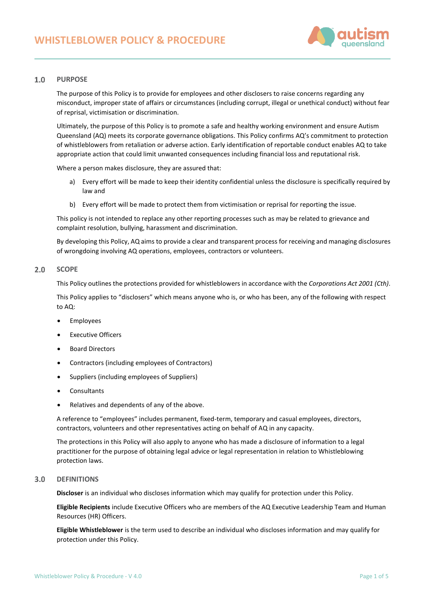

#### $1.0$ **PURPOSE**

The purpose of this Policy is to provide for employees and other disclosers to raise concerns regarding any misconduct, improper state of affairs or circumstances (including corrupt, illegal or unethical conduct) without fear of reprisal, victimisation or discrimination.

Ultimately, the purpose of this Policy is to promote a safe and healthy working environment and ensure Autism Queensland (AQ) meets its corporate governance obligations. This Policy confirms AQ's commitment to protection of whistleblowers from retaliation or adverse action. Early identification of reportable conduct enables AQ to take appropriate action that could limit unwanted consequences including financial loss and reputational risk.

Where a person makes disclosure, they are assured that:

- a) Every effort will be made to keep their identity confidential unless the disclosure is specifically required by law and
- b) Every effort will be made to protect them from victimisation or reprisal for reporting the issue.

This policy is not intended to replace any other reporting processes such as may be related to grievance and complaint resolution, bullying, harassment and discrimination.

By developing this Policy, AQ aims to provide a clear and transparent process for receiving and managing disclosures of wrongdoing involving AQ operations, employees, contractors or volunteers.

#### $2.0$ **SCOPE**

This Policy outlines the protections provided for whistleblowers in accordance with the *Corporations Act 2001 (Cth)*.

This Policy applies to "disclosers" which means anyone who is, or who has been, any of the following with respect to AQ:

- **Employees**
- **Executive Officers**
- Board Directors
- Contractors (including employees of Contractors)
- Suppliers (including employees of Suppliers)
- **Consultants**
- Relatives and dependents of any of the above.

A reference to "employees" includes permanent, fixed-term, temporary and casual employees, directors, contractors, volunteers and other representatives acting on behalf of AQ in any capacity.

The protections in this Policy will also apply to anyone who has made a disclosure of information to a legal practitioner for the purpose of obtaining legal advice or legal representation in relation to Whistleblowing protection laws.

#### $3.0$ **DEFINITIONS**

**Discloser** is an individual who discloses information which may qualify for protection under this Policy.

**Eligible Recipients** include Executive Officers who are members of the AQ Executive Leadership Team and Human Resources (HR) Officers.

**Eligible Whistleblower** is the term used to describe an individual who discloses information and may qualify for protection under this Policy.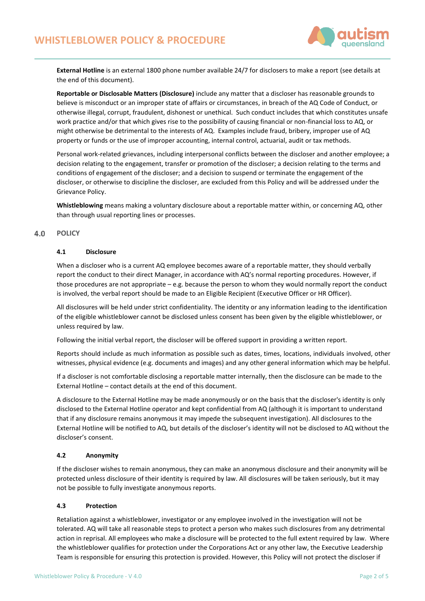

**External Hotline** is an external 1800 phone number available 24/7 for disclosers to make a report (see details at the end of this document).

**Reportable or Disclosable Matters (Disclosure)** include any matter that a discloser has reasonable grounds to believe is misconduct or an improper state of affairs or circumstances, in breach of the AQ Code of Conduct, or otherwise illegal, corrupt, fraudulent, dishonest or unethical. Such conduct includes that which constitutes unsafe work practice and/or that which gives rise to the possibility of causing financial or non-financial loss to AQ, or might otherwise be detrimental to the interests of AQ. Examples include fraud, bribery, improper use of AQ property or funds or the use of improper accounting, internal control, actuarial, audit or tax methods.

Personal work-related grievances, including interpersonal conflicts between the discloser and another employee; a decision relating to the engagement, transfer or promotion of the discloser; a decision relating to the terms and conditions of engagement of the discloser; and a decision to suspend or terminate the engagement of the discloser, or otherwise to discipline the discloser, are excluded from this Policy and will be addressed under the Grievance Policy.

**Whistleblowing** means making a voluntary disclosure about a reportable matter within, or concerning AQ, other than through usual reporting lines or processes.

#### $4.0$ **POLICY**

### **4.1 Disclosure**

When a discloser who is a current AQ employee becomes aware of a reportable matter, they should verbally report the conduct to their direct Manager, in accordance with AQ's normal reporting procedures. However, if those procedures are not appropriate – e.g. because the person to whom they would normally report the conduct is involved, the verbal report should be made to an Eligible Recipient (Executive Officer or HR Officer).

All disclosures will be held under strict confidentiality. The identity or any information leading to the identification of the eligible whistleblower cannot be disclosed unless consent has been given by the eligible whistleblower, or unless required by law.

Following the initial verbal report, the discloser will be offered support in providing a written report.

Reports should include as much information as possible such as dates, times, locations, individuals involved, other witnesses, physical evidence (e.g. documents and images) and any other general information which may be helpful.

If a discloser is not comfortable disclosing a reportable matter internally, then the disclosure can be made to the External Hotline – contact details at the end of this document.

A disclosure to the External Hotline may be made anonymously or on the basis that the discloser's identity is only disclosed to the External Hotline operator and kept confidential from AQ (although it is important to understand that if any disclosure remains anonymous it may impede the subsequent investigation). All disclosures to the External Hotline will be notified to AQ, but details of the discloser's identity will not be disclosed to AQ without the discloser's consent.

### **4.2 Anonymity**

If the discloser wishes to remain anonymous, they can make an anonymous disclosure and their anonymity will be protected unless disclosure of their identity is required by law. All disclosures will be taken seriously, but it may not be possible to fully investigate anonymous reports.

### **4.3 Protection**

Retaliation against a whistleblower, investigator or any employee involved in the investigation will not be tolerated. AQ will take all reasonable steps to protect a person who makes such disclosures from any detrimental action in reprisal. All employees who make a disclosure will be protected to the full extent required by law. Where the whistleblower qualifies for protection under the Corporations Act or any other law, the Executive Leadership Team is responsible for ensuring this protection is provided. However, this Policy will not protect the discloser if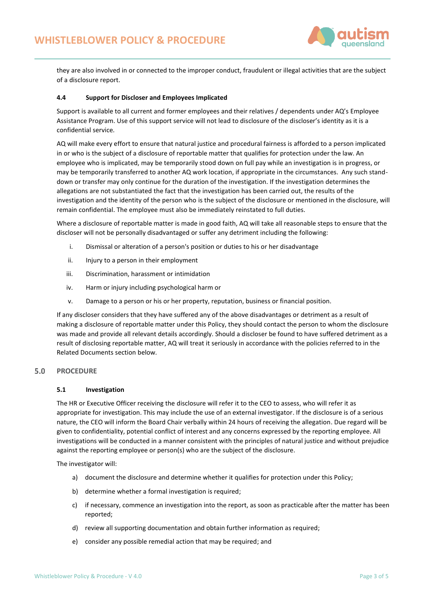

they are also involved in or connected to the improper conduct, fraudulent or illegal activities that are the subject of a disclosure report.

### **4.4 Support for Discloser and Employees Implicated**

Support is available to all current and former employees and their relatives / dependents under AQ's Employee Assistance Program. Use of this support service will not lead to disclosure of the discloser's identity as it is a confidential service.

AQ will make every effort to ensure that natural justice and procedural fairness is afforded to a person implicated in or who is the subject of a disclosure of reportable matter that qualifies for protection under the law. An employee who is implicated, may be temporarily stood down on full pay while an investigation is in progress, or may be temporarily transferred to another AQ work location, if appropriate in the circumstances. Any such standdown or transfer may only continue for the duration of the investigation. If the investigation determines the allegations are not substantiated the fact that the investigation has been carried out, the results of the investigation and the identity of the person who is the subject of the disclosure or mentioned in the disclosure, will remain confidential. The employee must also be immediately reinstated to full duties.

Where a disclosure of reportable matter is made in good faith, AQ will take all reasonable steps to ensure that the discloser will not be personally disadvantaged or suffer any detriment including the following:

- i. Dismissal or alteration of a person's position or duties to his or her disadvantage
- ii. Injury to a person in their employment
- iii. Discrimination, harassment or intimidation
- iv. Harm or injury including psychological harm or
- v. Damage to a person or his or her property, reputation, business or financial position.

If any discloser considers that they have suffered any of the above disadvantages or detriment as a result of making a disclosure of reportable matter under this Policy, they should contact the person to whom the disclosure was made and provide all relevant details accordingly. Should a discloser be found to have suffered detriment as a result of disclosing reportable matter, AQ will treat it seriously in accordance with the policies referred to in the Related Documents section below*.*

#### $5.0$ **PROCEDURE**

### **5.1 Investigation**

The HR or Executive Officer receiving the disclosure will refer it to the CEO to assess, who will refer it as appropriate for investigation. This may include the use of an external investigator. If the disclosure is of a serious nature, the CEO will inform the Board Chair verbally within 24 hours of receiving the allegation. Due regard will be given to confidentiality, potential conflict of interest and any concerns expressed by the reporting employee. All investigations will be conducted in a manner consistent with the principles of natural justice and without prejudice against the reporting employee or person(s) who are the subject of the disclosure.

The investigator will:

- a) document the disclosure and determine whether it qualifies for protection under this Policy;
- b) determine whether a formal investigation is required;
- c) if necessary, commence an investigation into the report, as soon as practicable after the matter has been reported;
- d) review all supporting documentation and obtain further information as required;
- e) consider any possible remedial action that may be required; and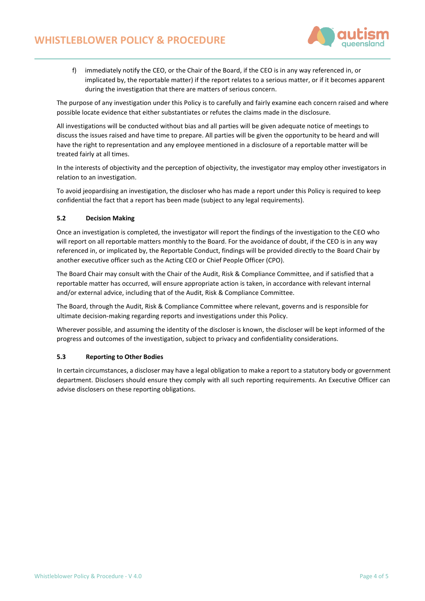

f) immediately notify the CEO, or the Chair of the Board, if the CEO is in any way referenced in, or implicated by, the reportable matter) if the report relates to a serious matter, or if it becomes apparent during the investigation that there are matters of serious concern.

The purpose of any investigation under this Policy is to carefully and fairly examine each concern raised and where possible locate evidence that either substantiates or refutes the claims made in the disclosure.

All investigations will be conducted without bias and all parties will be given adequate notice of meetings to discuss the issues raised and have time to prepare. All parties will be given the opportunity to be heard and will have the right to representation and any employee mentioned in a disclosure of a reportable matter will be treated fairly at all times.

In the interests of objectivity and the perception of objectivity, the investigator may employ other investigators in relation to an investigation.

To avoid jeopardising an investigation, the discloser who has made a report under this Policy is required to keep confidential the fact that a report has been made (subject to any legal requirements).

# **5.2 Decision Making**

Once an investigation is completed, the investigator will report the findings of the investigation to the CEO who will report on all reportable matters monthly to the Board. For the avoidance of doubt, if the CEO is in any way referenced in, or implicated by, the Reportable Conduct, findings will be provided directly to the Board Chair by another executive officer such as the Acting CEO or Chief People Officer (CPO).

The Board Chair may consult with the Chair of the Audit, Risk & Compliance Committee, and if satisfied that a reportable matter has occurred, will ensure appropriate action is taken, in accordance with relevant internal and/or external advice, including that of the Audit, Risk & Compliance Committee.

The Board, through the Audit, Risk & Compliance Committee where relevant, governs and is responsible for ultimate decision-making regarding reports and investigations under this Policy.

Wherever possible, and assuming the identity of the discloser is known, the discloser will be kept informed of the progress and outcomes of the investigation, subject to privacy and confidentiality considerations.

### **5.3 Reporting to Other Bodies**

In certain circumstances, a discloser may have a legal obligation to make a report to a statutory body or government department. Disclosers should ensure they comply with all such reporting requirements. An Executive Officer can advise disclosers on these reporting obligations.